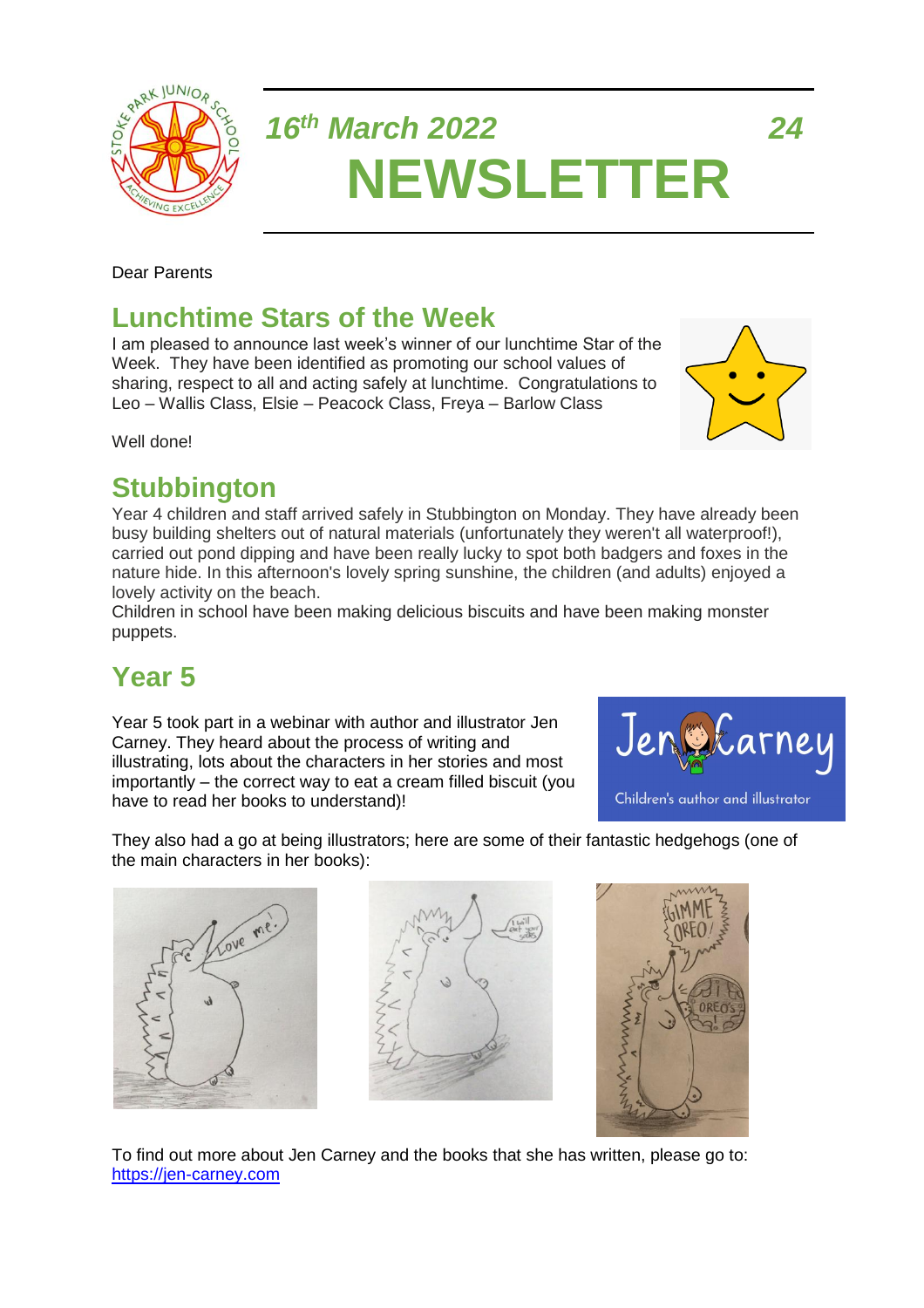

# *16th March 2022 24* **NEWSLETTER**

Dear Parents

## **Lunchtime Stars of the Week**

I am pleased to announce last week's winner of our lunchtime Star of the Week. They have been identified as promoting our school values of sharing, respect to all and acting safely at lunchtime. Congratulations to Leo – Wallis Class, Elsie – Peacock Class, Freya – Barlow Class

Well done!

### **Stubbington**

Year 4 children and staff arrived safely in Stubbington on Monday. They have already been busy building shelters out of natural materials (unfortunately they weren't all waterproof!), carried out pond dipping and have been really lucky to spot both badgers and foxes in the nature hide. In this afternoon's lovely spring sunshine, the children (and adults) enjoyed a lovely activity on the beach.

Children in school have been making delicious biscuits and have been making monster puppets.

# **Year 5**

Year 5 took part in a webinar with author and illustrator Jen Carney. They heard about the process of writing and illustrating, lots about the characters in her stories and most importantly – the correct way to eat a cream filled biscuit (you have to read her books to understand)!



They also had a go at being illustrators; here are some of their fantastic hedgehogs (one of the main characters in her books):







To find out more about Jen Carney and the books that she has written, please go to: [https://jen-carney.com](https://jen-carney.com/)

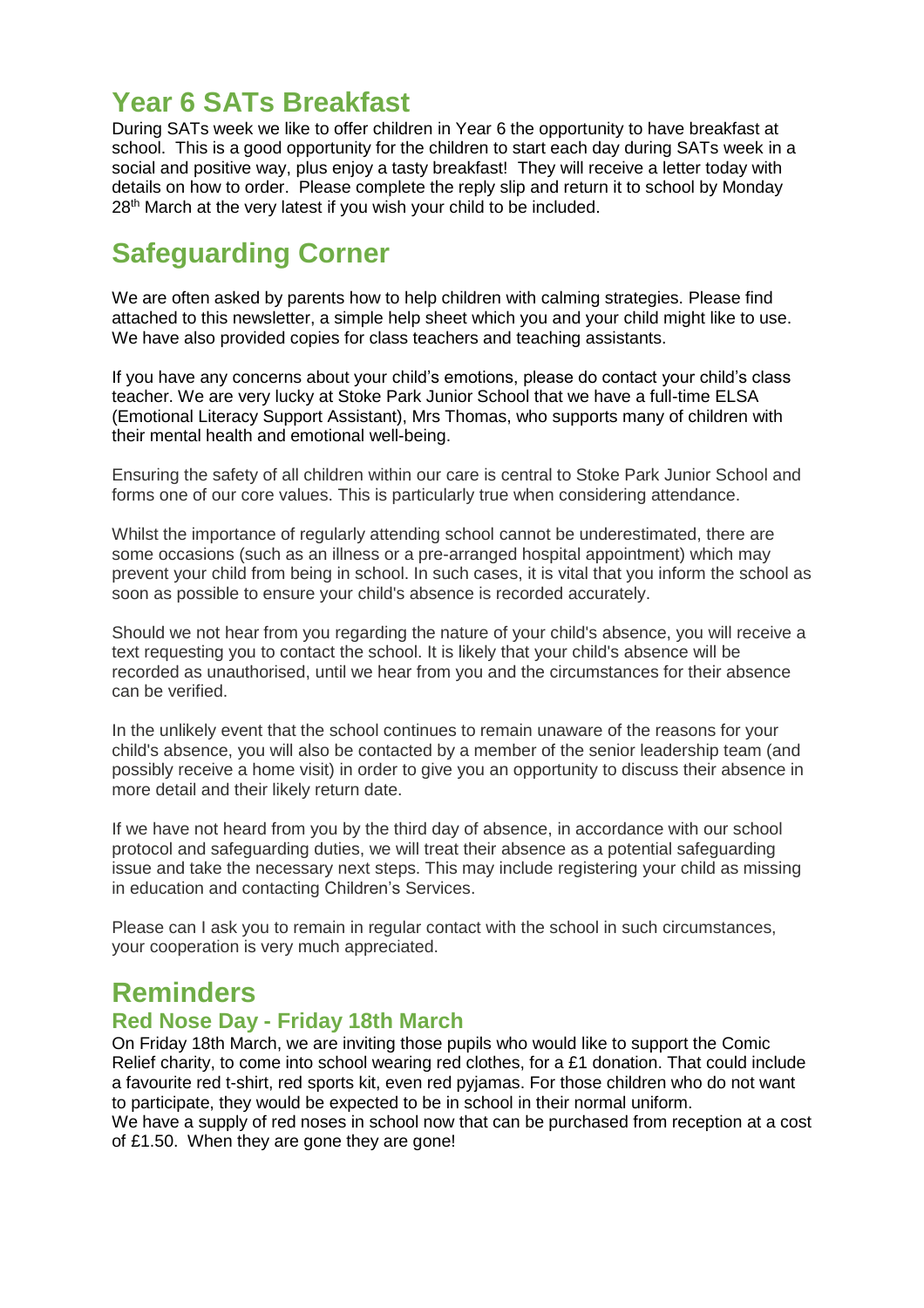## **Year 6 SATs Breakfast**

During SATs week we like to offer children in Year 6 the opportunity to have breakfast at school. This is a good opportunity for the children to start each day during SATs week in a social and positive way, plus enjoy a tasty breakfast! They will receive a letter today with details on how to order. Please complete the reply slip and return it to school by Monday 28<sup>th</sup> March at the very latest if you wish your child to be included.

# **Safeguarding Corner**

We are often asked by parents how to help children with calming strategies. Please find attached to this newsletter, a simple help sheet which you and your child might like to use. We have also provided copies for class teachers and teaching assistants.

If you have any concerns about your child's emotions, please do contact your child's class teacher. We are very lucky at Stoke Park Junior School that we have a full-time ELSA (Emotional Literacy Support Assistant), Mrs Thomas, who supports many of children with their mental health and emotional well-being.

Ensuring the safety of all children within our care is central to Stoke Park Junior School and forms one of our core values. This is particularly true when considering attendance.

Whilst the importance of regularly attending school cannot be underestimated, there are some occasions (such as an illness or a pre-arranged hospital appointment) which may prevent your child from being in school. In such cases, it is vital that you inform the school as soon as possible to ensure your child's absence is recorded accurately.

Should we not hear from you regarding the nature of your child's absence, you will receive a text requesting you to contact the school. It is likely that your child's absence will be recorded as unauthorised, until we hear from you and the circumstances for their absence can be verified.

In the unlikely event that the school continues to remain unaware of the reasons for your child's absence, you will also be contacted by a member of the senior leadership team (and possibly receive a home visit) in order to give you an opportunity to discuss their absence in more detail and their likely return date.

If we have not heard from you by the third day of absence, in accordance with our school protocol and safeguarding duties, we will treat their absence as a potential safeguarding issue and take the necessary next steps. This may include registering your child as missing in education and contacting Children's Services.

Please can I ask you to remain in regular contact with the school in such circumstances, your cooperation is very much appreciated.

### **Reminders**

#### **Red Nose Day - Friday 18th March**

On Friday 18th March, we are inviting those pupils who would like to support the Comic Relief charity, to come into school wearing red clothes, for a £1 donation. That could include a favourite red t-shirt, red sports kit, even red pyjamas. For those children who do not want to participate, they would be expected to be in school in their normal uniform.

We have a supply of red noses in school now that can be purchased from reception at a cost of £1.50. When they are gone they are gone!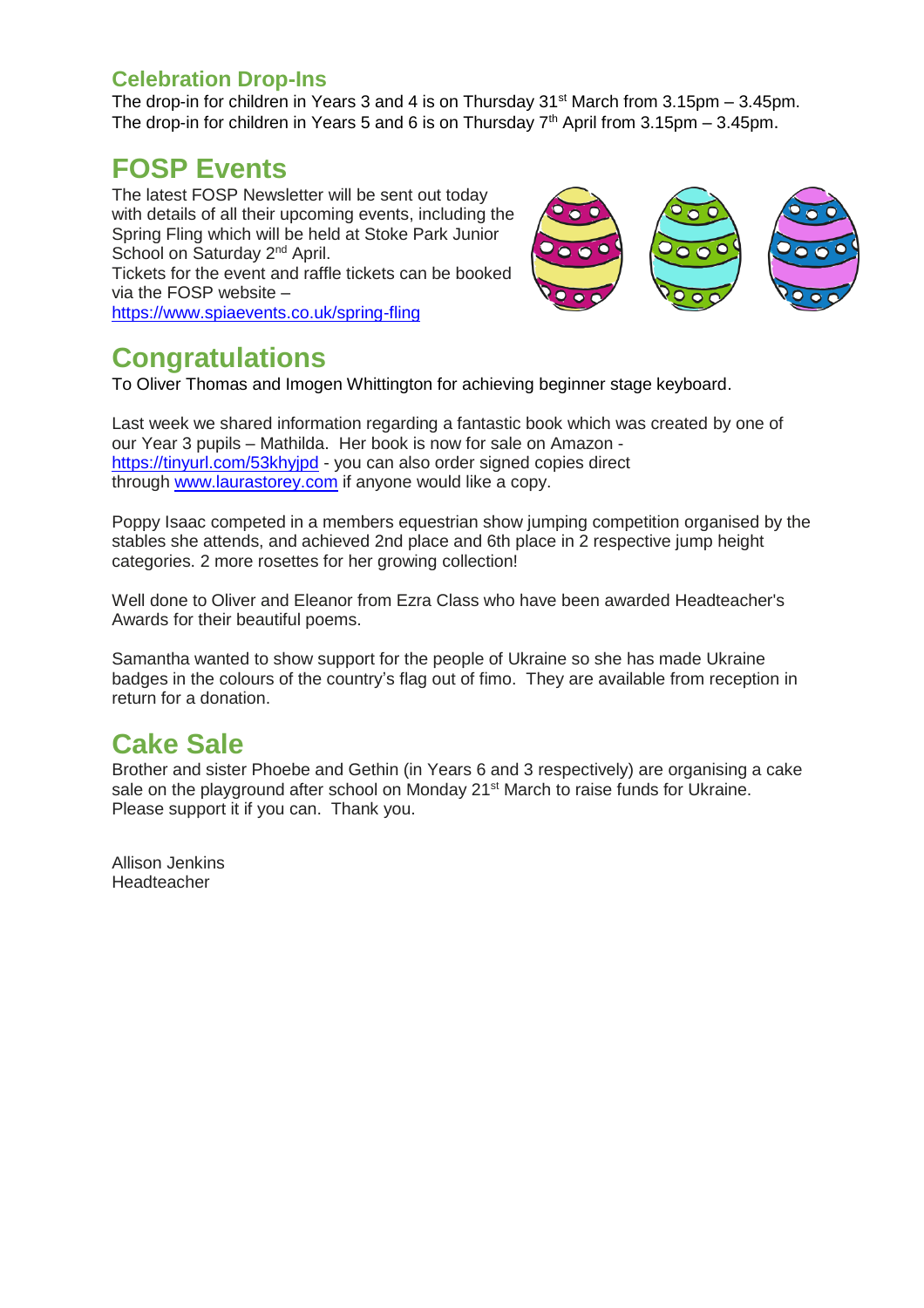#### **Celebration Drop-Ins**

The drop-in for children in Years 3 and 4 is on Thursday  $31<sup>st</sup>$  March from 3.15pm – 3.45pm. The drop-in for children in Years 5 and 6 is on Thursday  $7<sup>th</sup>$  April from 3.15pm – 3.45pm.

### **FOSP Events**

The latest FOSP Newsletter will be sent out today with details of all their upcoming events, including the Spring Fling which will be held at Stoke Park Junior School on Saturday 2<sup>nd</sup> April. Tickets for the event and raffle tickets can be booked via the FOSP website – <https://www.spiaevents.co.uk/spring-fling>



### **Congratulations**

To Oliver Thomas and Imogen Whittington for achieving beginner stage keyboard.

Last week we shared information regarding a fantastic book which was created by one of our Year 3 pupils – Mathilda. Her book is now for sale on Amazon <https://tinyurl.com/53khyjpd> - you can also order signed copies direct through [www.laurastorey.com](http://www.laurastorey.com/) if anyone would like a copy.

Poppy Isaac competed in a members equestrian show jumping competition organised by the stables she attends, and achieved 2nd place and 6th place in 2 respective jump height categories. 2 more rosettes for her growing collection!

Well done to Oliver and Eleanor from Ezra Class who have been awarded Headteacher's Awards for their beautiful poems.

Samantha wanted to show support for the people of Ukraine so she has made Ukraine badges in the colours of the country's flag out of fimo. They are available from reception in return for a donation.

# **Cake Sale**

Brother and sister Phoebe and Gethin (in Years 6 and 3 respectively) are organising a cake sale on the playground after school on Monday 21<sup>st</sup> March to raise funds for Ukraine. Please support it if you can. Thank you.

Allison Jenkins Headteacher